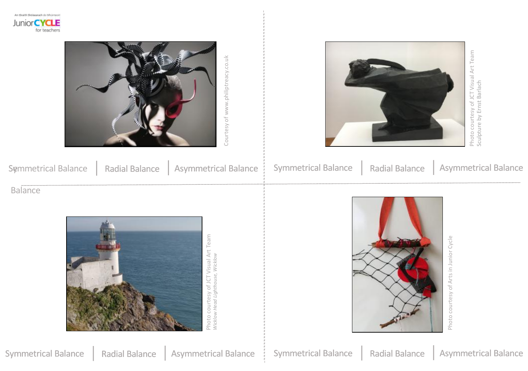An Waith Shikoarach do McGrani Junior **CYCLE** for teachers

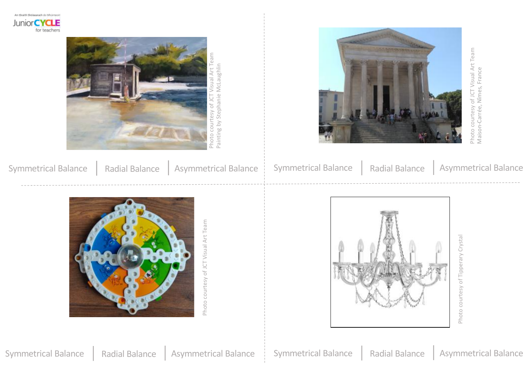An Waith Shikoarach do McGrani Junior CYCLE for teachers





|  | Symmetrical Balance   Radial Balance   Asymmetrical Balance   Symmetrical Balance   Radial Balance   Asymmetrical Balance |  |  |
|--|---------------------------------------------------------------------------------------------------------------------------|--|--|
|  |                                                                                                                           |  |  |



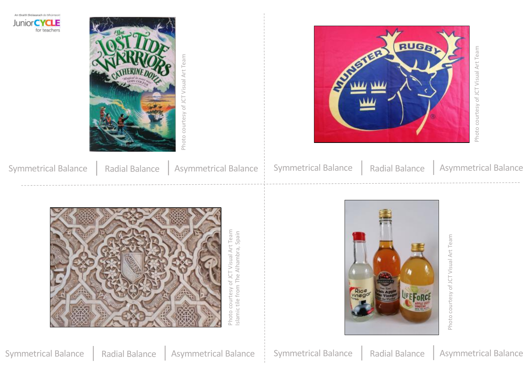





|  | Symmetrical Balance   Radial Balance   Asymmetrical Balance   Symmetrical Balance   Radial Balance   Asymmetrical Balance |  |  |
|--|---------------------------------------------------------------------------------------------------------------------------|--|--|



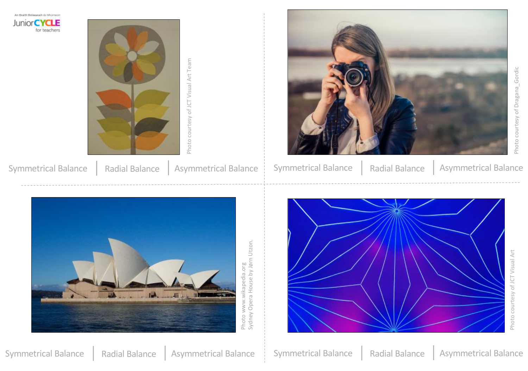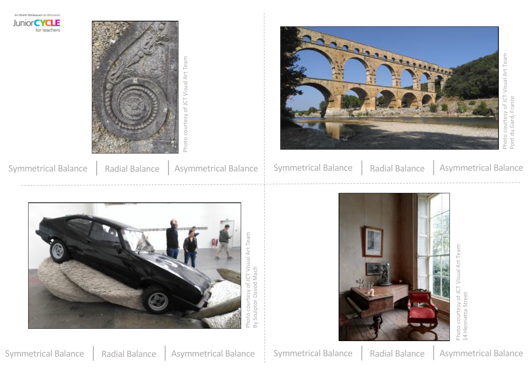